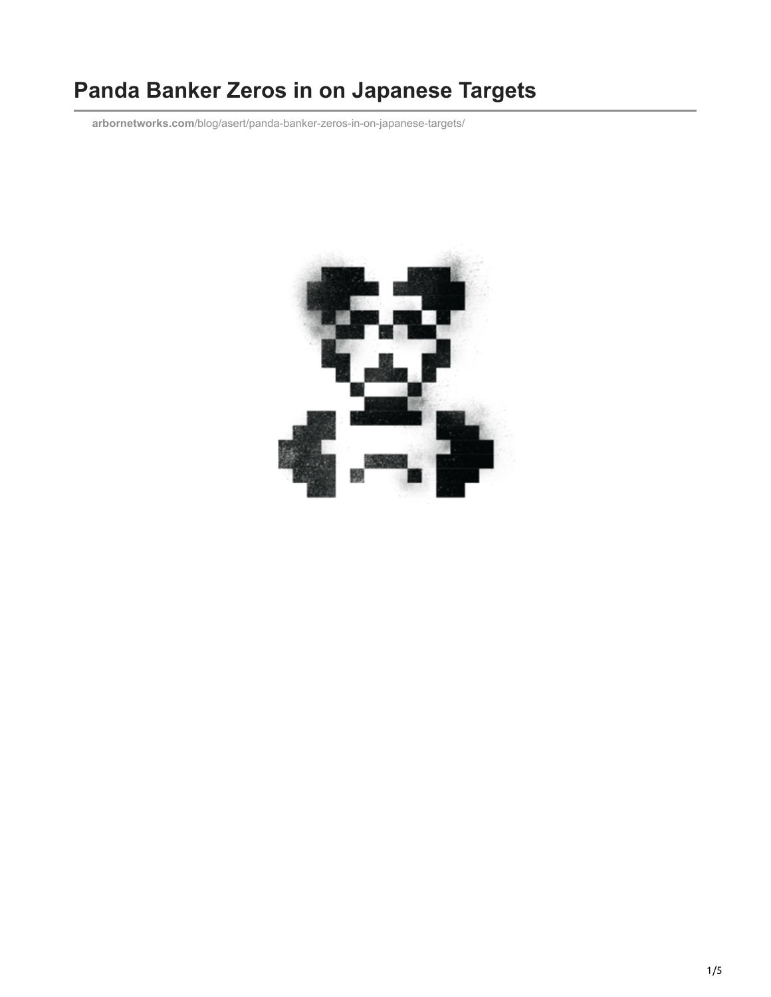# **Panda Banker Zeros in on Japanese Targets**

**arbornetworks.com**[/blog/asert/panda-banker-zeros-in-on-japanese-targets/](https://www.arbornetworks.com/blog/asert/panda-banker-zeros-in-on-japanese-targets/)

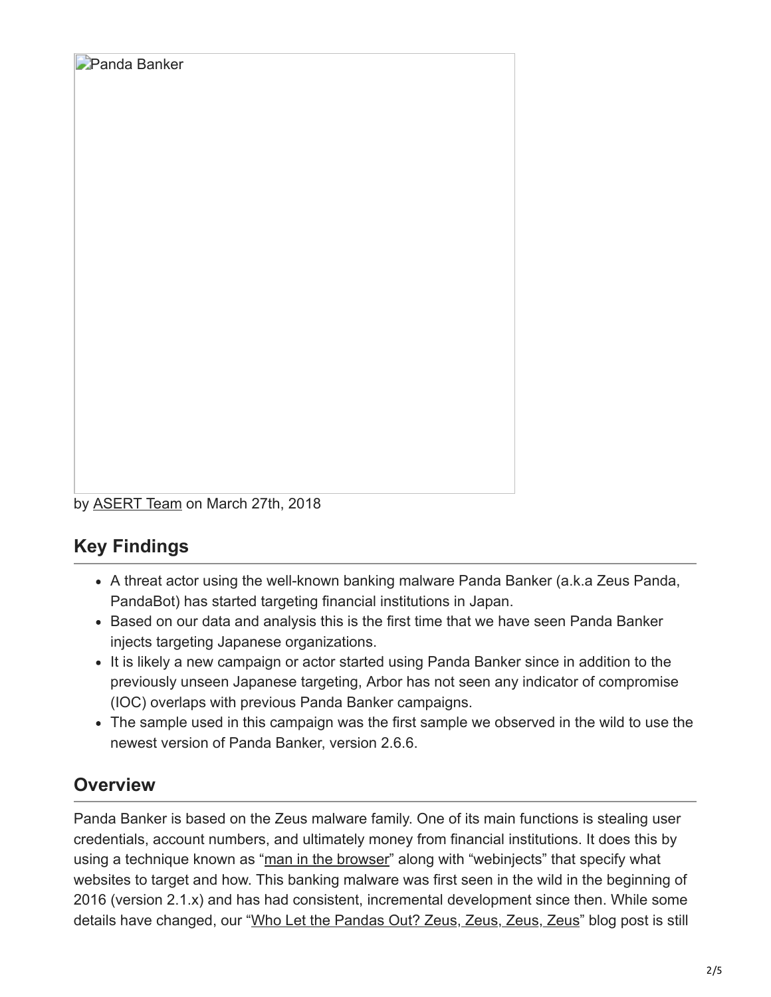

## **Key Findings**

**Panda Banker** 

- A threat actor using the well-known banking malware Panda Banker (a.k.a Zeus Panda, PandaBot) has started targeting financial institutions in Japan.
- Based on our data and analysis this is the first time that we have seen Panda Banker injects targeting Japanese organizations.
- It is likely a new campaign or actor started using Panda Banker since in addition to the previously unseen Japanese targeting, Arbor has not seen any indicator of compromise (IOC) overlaps with previous Panda Banker campaigns.
- The sample used in this campaign was the first sample we observed in the wild to use the newest version of Panda Banker, version 2.6.6.

## **Overview**

Panda Banker is based on the Zeus malware family. One of its main functions is stealing user credentials, account numbers, and ultimately money from financial institutions. It does this by using a technique known as "[man in the browser](https://attack.mitre.org/wiki/Technique/T1185)" along with "webinjects" that specify what websites to target and how. This banking malware was first seen in the wild in the beginning of 2016 (version 2.1.x) and has had consistent, incremental development since then. While some details have changed, our "[Who Let the Pandas Out? Zeus, Zeus, Zeus, Zeus](https://www.arbornetworks.com/blog/asert/let-pandas-zeus-zeus-zeus-zeus/)" blog post is still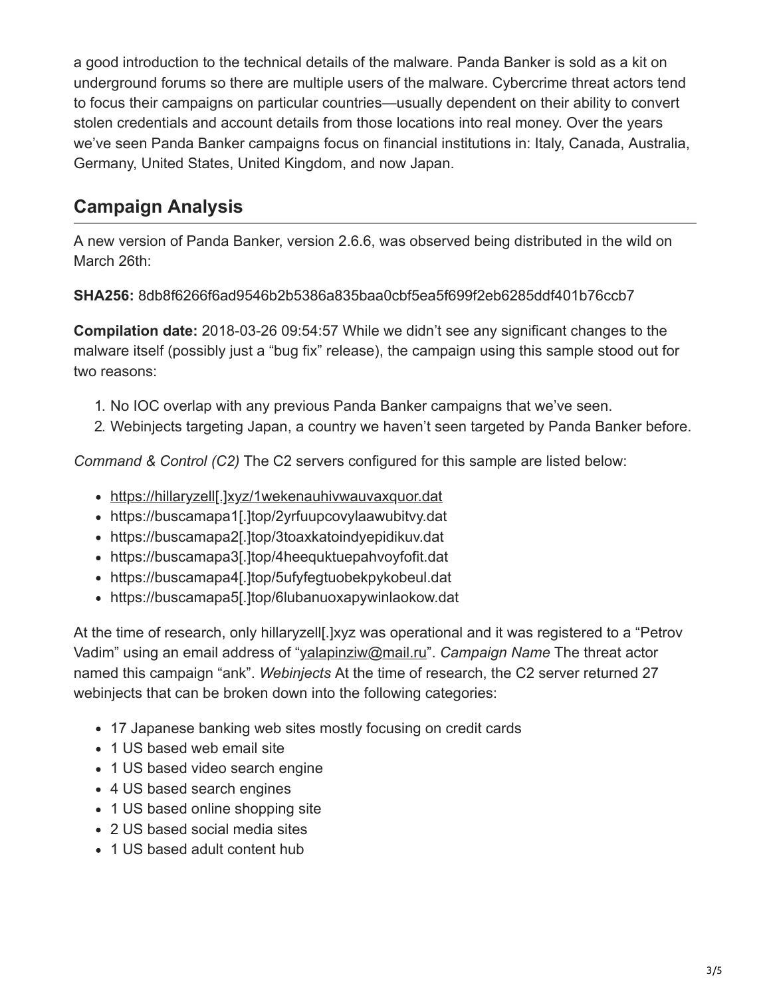a good introduction to the technical details of the malware. Panda Banker is sold as a kit on underground forums so there are multiple users of the malware. Cybercrime threat actors tend to focus their campaigns on particular countries—usually dependent on their ability to convert stolen credentials and account details from those locations into real money. Over the years we've seen Panda Banker campaigns focus on financial institutions in: Italy, Canada, Australia, Germany, United States, United Kingdom, and now Japan.

#### **Campaign Analysis**

A new version of Panda Banker, version 2.6.6, was observed being distributed in the wild on March 26th:

**SHA256:** 8db8f6266f6ad9546b2b5386a835baa0cbf5ea5f699f2eb6285ddf401b76ccb7

**Compilation date:** 2018-03-26 09:54:57 While we didn't see any significant changes to the malware itself (possibly just a "bug fix" release), the campaign using this sample stood out for two reasons:

- 1. No IOC overlap with any previous Panda Banker campaigns that we've seen.
- 2. Webinjects targeting Japan, a country we haven't seen targeted by Panda Banker before.

*Command & Control (C2)* The C2 servers configured for this sample are listed below:

- https://hillaryzell[.]xyz/1wekenauhivwauvaxquor.dat
- https://buscamapa1[.]top/2yrfuupcovylaawubitvy.dat
- https://buscamapa2[.]top/3toaxkatoindyepidikuv.dat
- https://buscamapa3[.]top/4heequktuepahvoyfofit.dat
- https://buscamapa4[.]top/5ufyfegtuobekpykobeul.dat
- https://buscamapa5[.]top/6lubanuoxapywinlaokow.dat

At the time of research, only hillaryzell[.]xyz was operational and it was registered to a "Petrov Vadim" using an email address of ["yalapinziw@mail.ru](http://10.10.0.46/mailto:yalapinziw@mail.ru)". *Campaign Name* The threat actor named this campaign "ank". *Webinjects* At the time of research, the C2 server returned 27 webinjects that can be broken down into the following categories:

- 17 Japanese banking web sites mostly focusing on credit cards
- 1 US based web email site
- 1 US based video search engine
- 4 US based search engines
- 1 US based online shopping site
- 2 US based social media sites
- 1 US based adult content hub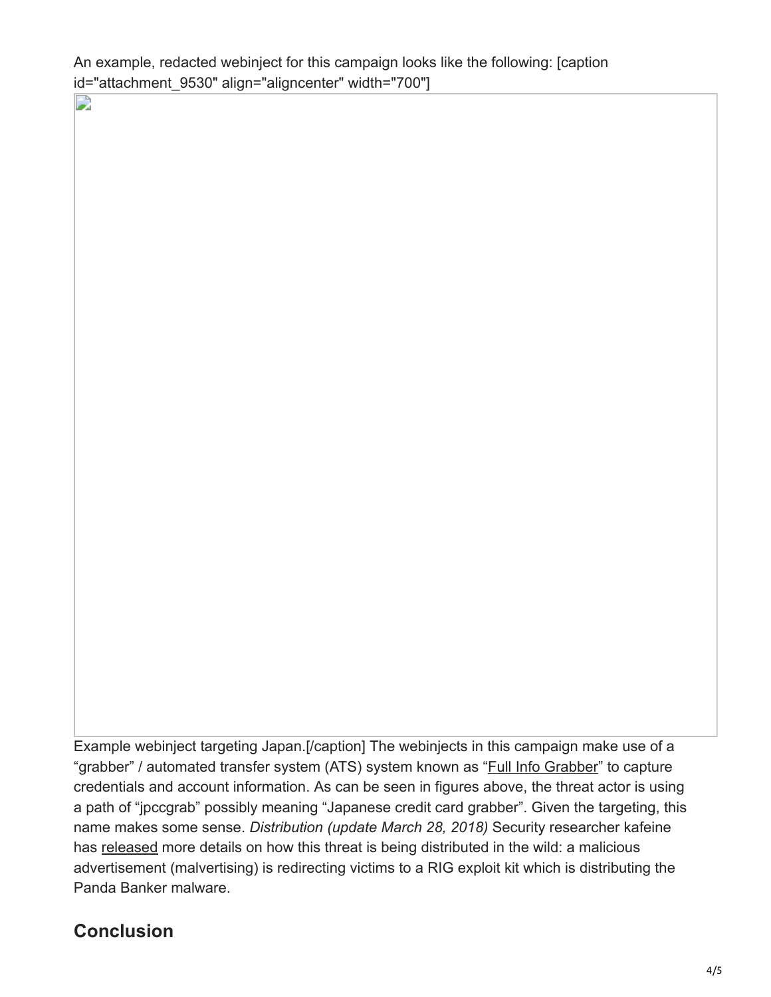An example, redacted webinject for this campaign looks like the following: [caption id="attachment\_9530" align="aligncenter" width="700"]

 $\rightarrow$ 

Example webinject targeting Japan.[/caption] The webinjects in this campaign make use of a "grabber" / automated transfer system (ATS) system known as ["Full Info Grabber](http://www.xylibox.com/2014/05/atsengine.html)" to capture credentials and account information. As can be seen in figures above, the threat actor is using a path of "jpccgrab" possibly meaning "Japanese credit card grabber". Given the targeting, this name makes some sense. *Distribution (update March 28, 2018)* Security researcher kafeine has [released](https://twitter.com/kafeine/status/978900624204025857) more details on how this threat is being distributed in the wild: a malicious advertisement (malvertising) is redirecting victims to a RIG exploit kit which is distributing the Panda Banker malware.

#### **Conclusion**